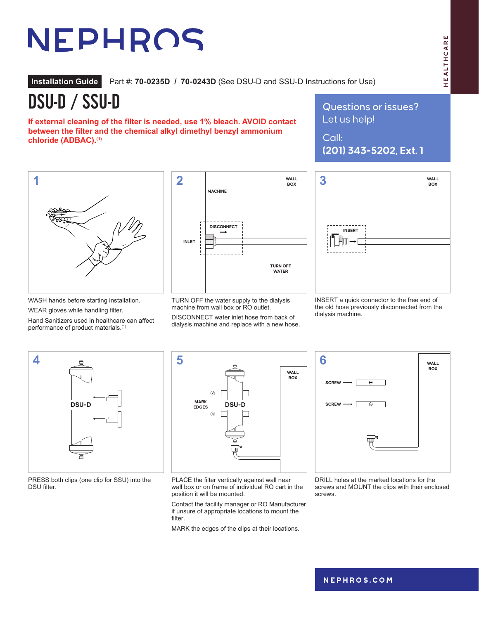## HEALTHCARE HEALTHCARE

# NEPHROS

**Installation Guide** Part #: **70-0235D / 70-0243D** (See DSU-D and SSU-D Instructions for Use)

DSU-D / SSU-D

**If external cleaning of the filter is needed, use 1% bleach. AVOID contact between the filter and the chemical alkyl dimethyl benzyl ammonium chloride (ADBAC).(1)**

Questions or issues? Let us help!

Call: **(201) 343-5202, Ext. 1**



WASH hands before starting installation.

WEAR gloves while handling filter.

Hand Sanitizers used in healthcare can affect performance of product materials.<sup>(1)</sup>



TURN OFF the water supply to the dialysis machine from wall box or RO outlet.

DISCONNECT water inlet hose from back of dialysis machine and replace with a new hose.



INSERT a quick connector to the free end of the old hose previously disconnected from the dialysis machine.



PRESS both clips (one clip for SSU) into the DSU filter.



PLACE the filter vertically against wall near wall box or on frame of individual RO cart in the position it will be mounted.

**WATER**

Contact the facility manager or RO Manufacturer if unsure of appropriate locations to mount the filter.

MARK the edges of the clips at their locations.

**SCREW SCREW 6 WALL BOX SCREW**

DRILL holes at the marked locations for the screws and MOUNT the clips with their enclosed screws.